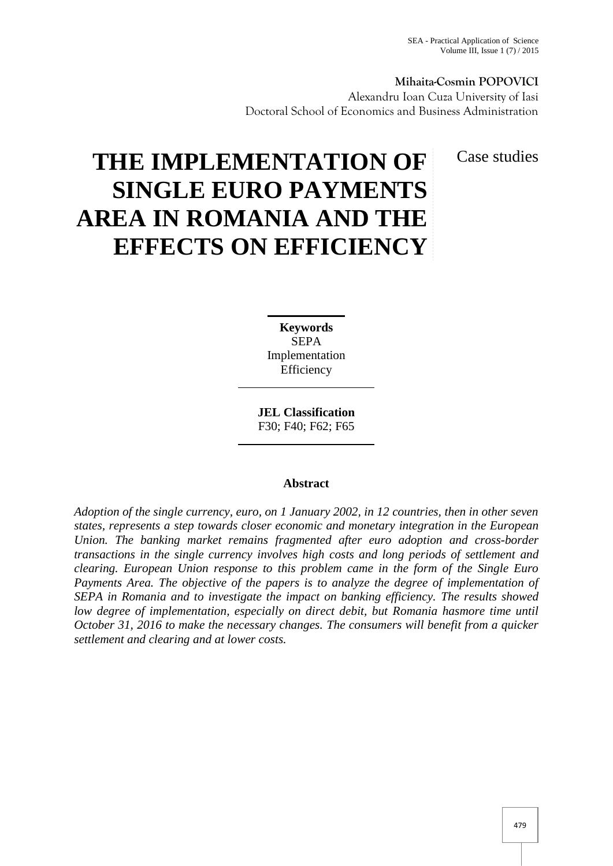# **Mihaita-Cosmin POPOVICI**

Alexandru Ioan Cuza University of Iasi Doctoral School of Economics and Business Administration

Case studies

# **THE IMPLEMENTATION OF SINGLE EURO PAYMENTS AREA IN ROMANIA AND THE EFFECTS ON EFFICIENCY**

**Keywords** SEPA Implementation Efficiency

**JEL Classification** F30; F40; F62; F65

## **Abstract**

*Adoption of the single currency, euro, on 1 January 2002, in 12 countries, then in other seven states, represents a step towards closer economic and monetary integration in the European Union. The banking market remains fragmented after euro adoption and cross-border transactions in the single currency involves high costs and long periods of settlement and clearing. European Union response to this problem came in the form of the Single Euro Payments Area. The objective of the papers is to analyze the degree of implementation of SEPA in Romania and to investigate the impact on banking efficiency. The results showed low degree of implementation, especially on direct debit, but Romania hasmore time until October 31, 2016 to make the necessary changes. The consumers will benefit from a quicker settlement and clearing and at lower costs.*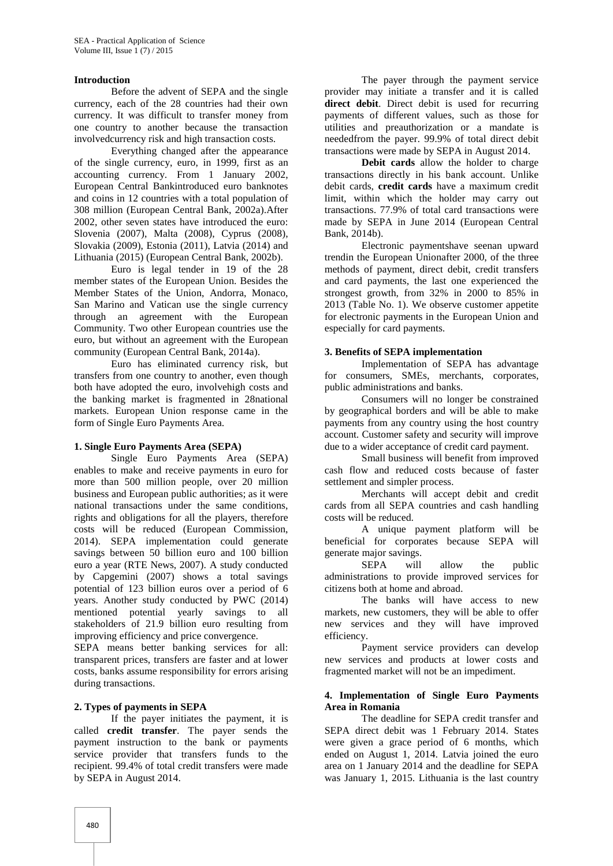### **Introduction**

Before the advent of SEPA and the single currency, each of the 28 countries had their own currency. It was difficult to transfer money from one country to another because the transaction involvedcurrency risk and high transaction costs.

Everything changed after the appearance of the single currency, euro, in 1999, first as an accounting currency. From 1 January 2002, European Central Bankintroduced euro banknotes and coins in 12 countries with a total population of 308 million (European Central Bank, 2002a).After 2002, other seven states have introduced the euro: Slovenia (2007), Malta (2008), Cyprus (2008), Slovakia (2009), Estonia (2011), Latvia (2014) and Lithuania (2015) (European Central Bank, 2002b).

Euro is legal tender in 19 of the 28 member states of the European Union. Besides the Member States of the Union, Andorra, Monaco, San Marino and Vatican use the single currency through an agreement with the European Community. Two other European countries use the euro, but without an agreement with the European community (European Central Bank, 2014a).

Euro has eliminated currency risk, but transfers from one country to another, even though both have adopted the euro, involvehigh costs and the banking market is fragmented in 28national markets. European Union response came in the form of Single Euro Payments Area.

#### **1. Single Euro Payments Area (SEPA)**

Single Euro Payments Area (SEPA) enables to make and receive payments in euro for more than 500 million people, over 20 million business and European public authorities; as it were national transactions under the same conditions, rights and obligations for all the players, therefore costs will be reduced (European Commission, 2014). SEPA implementation could generate savings between 50 billion euro and 100 billion euro a year (RTE News, 2007). A study conducted by Capgemini (2007) shows a total savings potential of 123 billion euros over a period of 6 years. Another study conducted by PWC (2014) mentioned potential yearly savings to all stakeholders of 21.9 billion euro resulting from improving efficiency and price convergence.

SEPA means better banking services for all: transparent prices, transfers are faster and at lower costs, banks assume responsibility for errors arising during transactions.

## **2. Types of payments in SEPA**

If the payer initiates the payment, it is called **credit transfer**. The payer sends the payment instruction to the bank or payments service provider that transfers funds to the recipient. 99.4% of total credit transfers were made by SEPA in August 2014.

The payer through the payment service provider may initiate a transfer and it is called **direct debit**. Direct debit is used for recurring payments of different values, such as those for utilities and preauthorization or a mandate is neededfrom the payer. 99.9% of total direct debit transactions were made by SEPA in August 2014.

**Debit cards** allow the holder to charge transactions directly in his bank account. Unlike debit cards, **credit cards** have a maximum credit limit, within which the holder may carry out transactions. 77.9% of total card transactions were made by SEPA in June 2014 (European Central Bank, 2014b).

Electronic paymentshave seenan upward trendin the European Unionafter 2000, of the three methods of payment, direct debit, credit transfers and card payments, the last one experienced the strongest growth, from 32% in 2000 to 85% in 2013 (Table No. 1). We observe customer appetite for electronic payments in the European Union and especially for card payments.

#### **3. Benefits of SEPA implementation**

Implementation of SEPA has advantage for consumers, SMEs, merchants, corporates, public administrations and banks.

Consumers will no longer be constrained by geographical borders and will be able to make payments from any country using the host country account. Customer safety and security will improve due to a wider acceptance of credit card payment.

Small business will benefit from improved cash flow and reduced costs because of faster settlement and simpler process.

Merchants will accept debit and credit cards from all SEPA countries and cash handling costs will be reduced.

A unique payment platform will be beneficial for corporates because SEPA will generate major savings.

SEPA will allow the public administrations to provide improved services for citizens both at home and abroad.

The banks will have access to new markets, new customers, they will be able to offer new services and they will have improved efficiency.

Payment service providers can develop new services and products at lower costs and fragmented market will not be an impediment.

## **4. Implementation of Single Euro Payments Area in Romania**

The deadline for SEPA credit transfer and SEPA direct debit was 1 February 2014. States were given a grace period of 6 months, which ended on August 1, 2014. Latvia joined the euro area on 1 January 2014 and the deadline for SEPA was January 1, 2015. Lithuania is the last country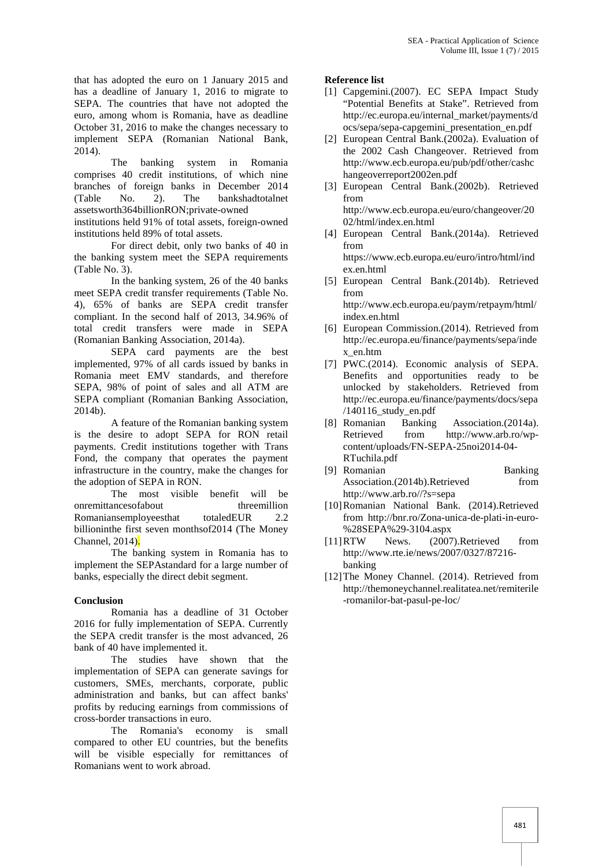that has adopted the euro on 1 January 2015 and has a deadline of January 1, 2016 to migrate to SEPA. The countries that have not adopted the euro, among whom is Romania, have as deadline October 31, 2016 to make the changes necessary to implement SEPA (Romanian National Bank, 2014). The

banking system in Romania comprises 40 credit institutions, of which nine branches of foreign banks in December 2014<br>(Table No. 2). The bankshadtotalnet No. 2). The bankshadtotalnet assetsworth364billionRON;private-owned

institutions held 91% of total assets, foreign-owned institutions held 89% of total assets.

For direct debit, only two banks of 40 in the banking system meet the SEPA requirements (Table No. 3).

In the banking system, 26 of the 40 banks meet SEPA credit transfer requirements (Table No. 4), 65% of banks are SEPA credit transfer compliant. In the second half of 2013, 34.96% of total credit transfers were made in SEPA (Romanian Banking Association, 2014a).

SEPA card payments are the best implemented, 97% of all cards issued by banks in Romania meet EMV standards, and therefore SEPA, 98% of point of sales and all ATM are SEPA compliant (Romanian Banking Association, 2014b).

A feature of the Romanian banking system is the desire to adopt SEPA for RON retail payments. Credit institutions together with Trans Fond, the company that operates the payment infrastructure in the country, make the changes for the adoption of SEPA in RON.

The most visible benefit will be onremittances of about threemillion Romaniansemployeesthat totaledEUR 2.2 billioninthe first seven monthsof2014 (The Money Channel, 2014).

The banking system in Romania has to implement the SEPAstandard for a large number of banks, especially the direct debit segment.

## **Conclusion**

Romania has a deadline of 31 October 2016 for fully implementation of SEPA. Currently the SEPA credit transfer is the most advanced, 26 bank of 40 have implemented it.

The studies have shown that the implementation of SEPA can generate savings for customers, SMEs, merchants, corporate, public administration and banks, but can affect banks' profits by reducing earnings from commissions of cross-border transactions in euro.

The Romania's economy is small compared to other EU countries, but the benefits will be visible especially for remittances of Romanians went to work abroad.

## **Reference list**

- [1] Capgemini.(2007). EC SEPA Impact Study "Potential Benefits at Stake". Retrieved from http://ec.europa.eu/internal\_market/payments/d ocs/sepa/sepa-capgemini\_presentation\_en.pdf
- [2] European Central Bank.(2002a). Evaluation of the 2002 Cash Changeover. Retrieved from http://www.ecb.europa.eu/pub/pdf/other/cashc hangeoverreport2002en.pdf
- [3] European Central Bank.(2002b). Retrieved from http://www.ecb.europa.eu/euro/changeover/20 02/html/index.en.html
- [4] European Central Bank.(2014a). Retrieved from https://www.ecb.europa.eu/euro/intro/html/ind

ex.en.html

- [5] European Central Bank.(2014b). Retrieved from http://www.ecb.europa.eu/paym/retpaym/html/
- index.en.html [6] European Commission.(2014). Retrieved from http://ec.europa.eu/finance/payments/sepa/inde x\_en.htm
- [7] PWC.(2014). Economic analysis of SEPA. Benefits and opportunities ready to be unlocked by stakeholders. Retrieved from http://ec.europa.eu/finance/payments/docs/sepa /140116\_study\_en.pdf
- Banking Association.(2014a). Retrieved from http://www.arb.ro/wp content/uploads/FN-SEPA-25noi2014-04- RTuchila.pdf
- [9] Romanian Banking Association.(2014b).Retrieved from http://www.arb.ro//?s=sepa
- [10]Romanian National Bank. (2014).Retrieved from http://bnr.ro/Zona-unica-de-plati-in-euro- %28SEPA%29-3104.aspx
- [11]RTW News. (2007).Retrieved from http://www.rte.ie/news/2007/0327/87216 banking
- [12]The Money Channel. (2014). Retrieved from http://themoneychannel.realitatea.net/remiterile -romanilor-bat-pasul-pe-loc/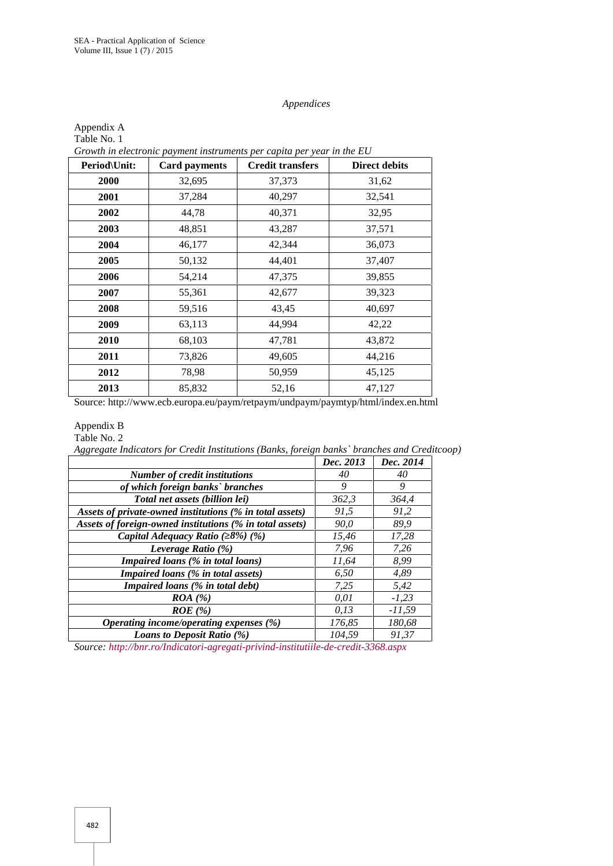Appendix A

#### *Appendices*

| Period\Unit: | <b>Card payments</b> | <b>Credit transfers</b> | <b>Direct debits</b> |
|--------------|----------------------|-------------------------|----------------------|
| 2000         | 32,695               | 37,373                  | 31,62                |
| 2001         | 37,284               | 40,297                  | 32,541               |
| 2002         | 44,78                | 40,371                  | 32,95                |
| 2003         | 48,851               | 43,287                  | 37,571               |
| 2004         | 46,177               | 42,344                  | 36,073               |
| 2005         | 50,132               | 44,401                  | 37,407               |
| 2006         | 54,214               | 47,375                  | 39,855               |
| 2007         | 55,361               | 42,677                  | 39,323               |
| 2008         | 59,516               | 43,45                   | 40,697               |
| 2009         | 63,113               | 44,994                  | 42,22                |
| 2010         | 68,103               | 47,781                  | 43,872               |
| 2011         | 73,826               | 49,605                  | 44,216               |
| 2012         | 78,98                | 50,959                  | 45,125               |
| 2013         | 85,832               | 52,16                   | 47,127               |

Table No. 1

Source: http://www.ecb.europa.eu/paym/retpaym/undpaym/paymtyp/html/index.en.html

# Appendix B

Table No. 2

*Aggregate Indicators for Credit Institutions (Banks, foreign banks` branches and Creditcoop)*

|        | Dec. 2014 |  |
|--------|-----------|--|
| 40     | 40        |  |
| 9      | 9         |  |
| 362,3  | 364.4     |  |
| 91,5   | 91,2      |  |
| 90.0   | 89.9      |  |
| 15,46  | 17,28     |  |
| 7.96   | 7,26      |  |
| 11.64  | 8.99      |  |
| 6.50   | 4,89      |  |
| 7,25   | 5,42      |  |
| 0.01   | $-1,23$   |  |
| 0.13   | $-11,59$  |  |
| 176,85 | 180,68    |  |
| 104.59 | 91.37     |  |
|        | Dec. 2013 |  |

*Source: http://bnr.ro/Indicatori-agregati-privind-institutiile-de-credit-3368.aspx*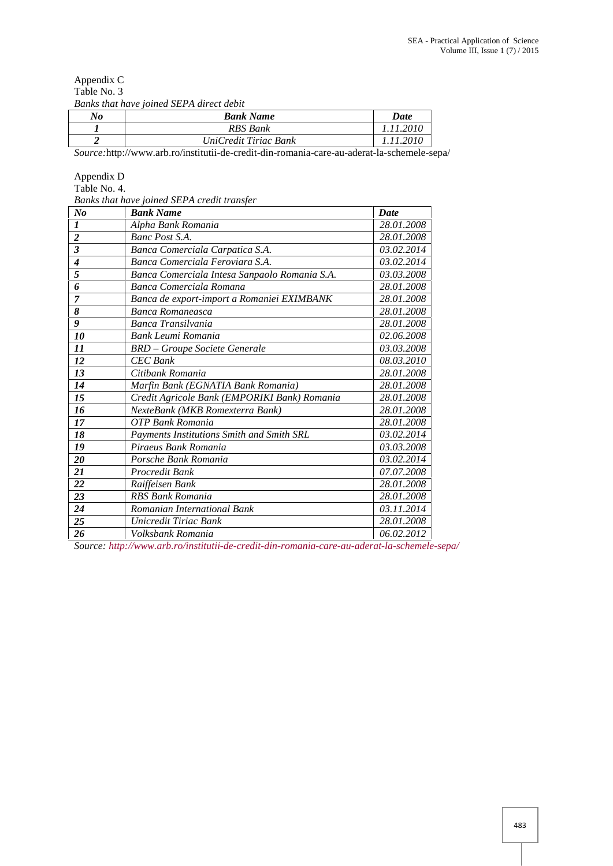|             | Banks that have joined SEPA direct debit |  |
|-------------|------------------------------------------|--|
| Table No. 3 |                                          |  |
| Appendix C  |                                          |  |

| No | <b>Bank Name</b>      | Date     |
|----|-----------------------|----------|
|    | RBS Bank              | .11.2010 |
|    | UniCredit Tiriac Bank | 11.2010  |

*Source:*http://www.arb.ro/institutii-de-credit-din-romania-care-au-aderat-la-schemele-sepa/

## Appendix D

Table No. 4.

*Banks that have joined SEPA credit transfer*

| <b>Bank Name</b>                              | <b>Date</b>                               |
|-----------------------------------------------|-------------------------------------------|
| Alpha Bank Romania                            | 28.01.2008                                |
| Banc Post S.A.                                | 28.01.2008                                |
| Banca Comerciala Carpatica S.A.               | 03.02.2014                                |
| Banca Comerciala Feroviara S.A.               | 03.02.2014                                |
| Banca Comerciala Intesa Sanpaolo Romania S.A. | 03.03.2008                                |
| Banca Comerciala Romana                       | 28.01.2008                                |
| Banca de export-import a Romaniei EXIMBANK    | 28.01.2008                                |
| Banca Romaneasca                              | 28.01.2008                                |
| Banca Transilvania                            | 28.01.2008                                |
| Bank Leumi Romania                            | 02.06.2008                                |
| <b>BRD</b> - Groupe Societe Generale          | 03.03.2008                                |
| <b>CEC</b> Bank                               | 08.03.2010                                |
| Citibank Romania                              | 28.01.2008                                |
| Marfin Bank (EGNATIA Bank Romania)            | 28.01.2008                                |
| Credit Agricole Bank (EMPORIKI Bank) Romania  | 28.01.2008                                |
| NexteBank (MKB Romexterra Bank)               | 28.01.2008                                |
| OTP Bank Romania                              | 28.01.2008                                |
|                                               | 03.02.2014                                |
| Piraeus Bank Romania                          | 03.03.2008                                |
| Porsche Bank Romania                          | 03.02.2014                                |
| Procredit Bank                                | 07.07.2008                                |
| Raiffeisen Bank                               | 28.01.2008                                |
| <b>RBS Bank Romania</b>                       | 28.01.2008                                |
| Romanian International Bank                   | 03.11.2014                                |
| Unicredit Tiriac Bank                         | 28.01.2008                                |
| Volksbank Romania                             | 06.02.2012                                |
|                                               | Payments Institutions Smith and Smith SRL |

*Source: http://www.arb.ro/institutii-de-credit-din-romania-care-au-aderat-la-schemele-sepa/*